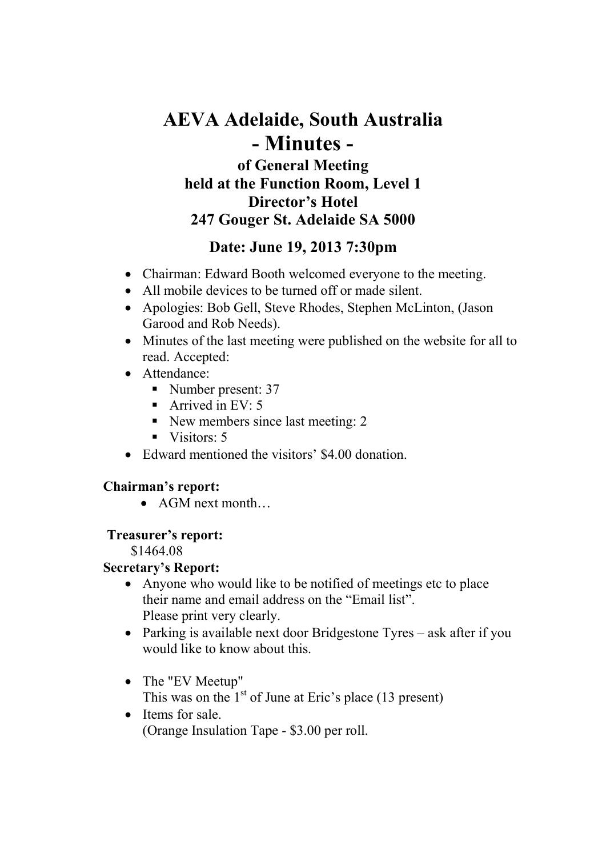# **AEVA Adelaide, South Australia - Minutes of General Meeting held at the Function Room, Level 1 Director's Hotel 247 Gouger St. Adelaide SA 5000**

# **Date: June 19, 2013 7:30pm**

- Chairman: Edward Booth welcomed everyone to the meeting.
- All mobile devices to be turned off or made silent.
- Apologies: Bob Gell, Steve Rhodes, Stephen McLinton, (Jason Garood and Rob Needs).
- Minutes of the last meeting were published on the website for all to read. Accepted:
- Attendance:
	- Number present: 37
	- Arrived in EV:  $5$
	- New members since last meeting: 2
	- $\blacksquare$  Visitors: 5
- Edward mentioned the visitors' \$4.00 donation.

# **Chairman's report:**

• AGM next month…

# **Treasurer's report:**

\$1464.08

# **Secretary's Report:**

- Anyone who would like to be notified of meetings etc to place their name and email address on the "Email list". Please print very clearly.
- Parking is available next door Bridgestone Tyres ask after if you would like to know about this.
- The "EV Meetup" This was on the  $1<sup>st</sup>$  of June at Eric's place (13 present)
- Items for sale. (Orange Insulation Tape - \$3.00 per roll.